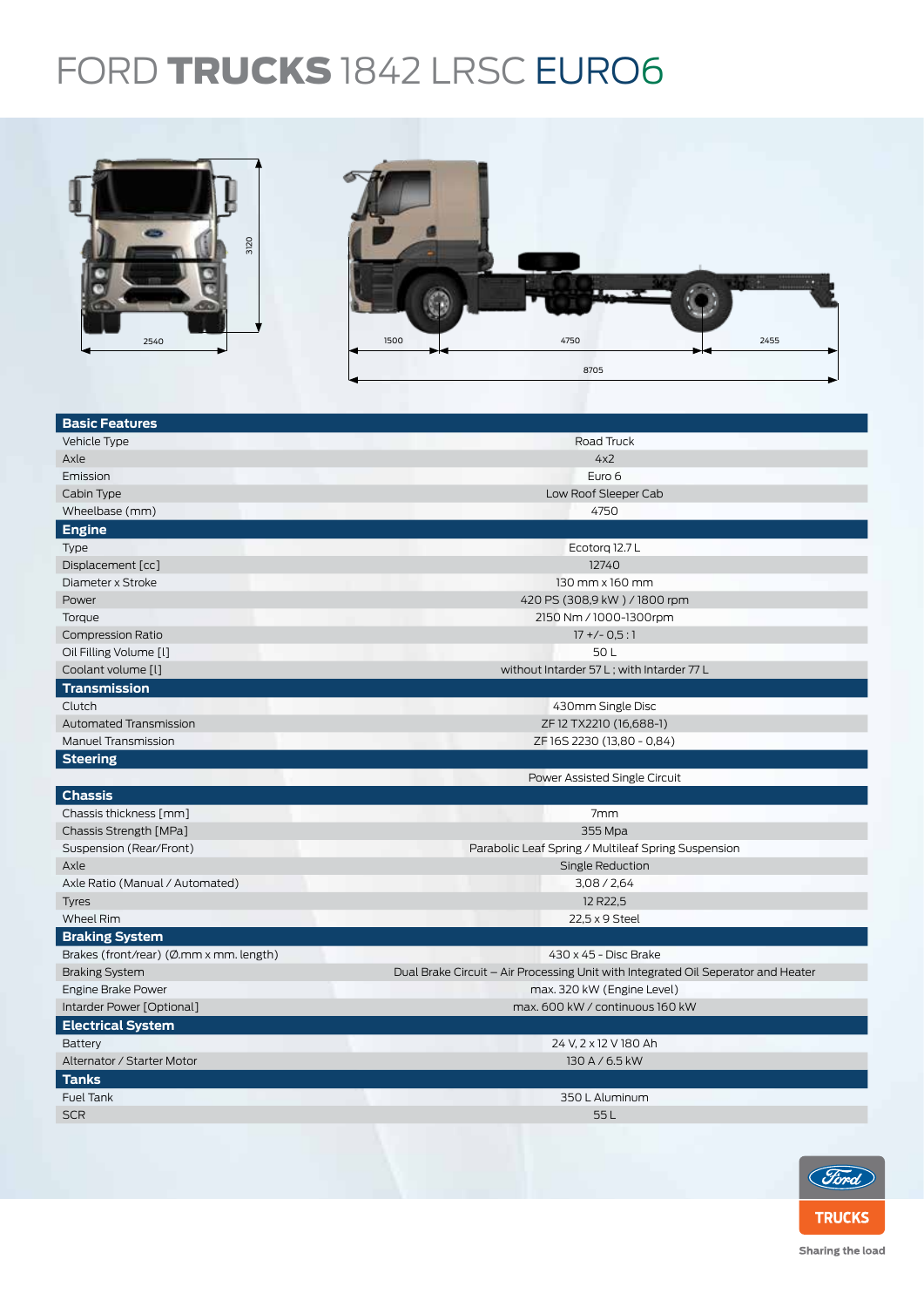## FORD TRUCKS 1842 LRSC EURO6



| <b>Basic Features</b>                   |                                                                                   |  |  |
|-----------------------------------------|-----------------------------------------------------------------------------------|--|--|
| Vehicle Type                            | Road Truck                                                                        |  |  |
| Axle                                    | 4x2                                                                               |  |  |
| Emission                                | Euro 6                                                                            |  |  |
| Cabin Type                              | Low Roof Sleeper Cab                                                              |  |  |
| Wheelbase (mm)                          | 4750                                                                              |  |  |
| <b>Engine</b>                           |                                                                                   |  |  |
| Type                                    | Ecotorg 12.7 L                                                                    |  |  |
| Displacement [cc]                       | 12740                                                                             |  |  |
| Diameter x Stroke                       | 130 mm x 160 mm                                                                   |  |  |
| Power                                   | 420 PS (308,9 kW) / 1800 rpm                                                      |  |  |
| Torque                                  | 2150 Nm / 1000-1300rpm                                                            |  |  |
| <b>Compression Ratio</b>                | $17 + (-0.5:1)$                                                                   |  |  |
| Oil Filling Volume [1]                  | 50L                                                                               |  |  |
| Coolant volume [l]                      | without Intarder 57 L; with Intarder 77 L                                         |  |  |
| <b>Transmission</b>                     |                                                                                   |  |  |
| Clutch                                  | 430mm Single Disc                                                                 |  |  |
| Automated Transmission                  | ZF 12 TX2210 (16,688-1)                                                           |  |  |
| Manuel Transmission                     | ZF 16S 2230 (13,80 - 0,84)                                                        |  |  |
| <b>Steering</b>                         |                                                                                   |  |  |
|                                         | Power Assisted Single Circuit                                                     |  |  |
| <b>Chassis</b>                          |                                                                                   |  |  |
| Chassis thickness [mm]                  | 7mm                                                                               |  |  |
| Chassis Strength [MPa]                  | 355 Mpa                                                                           |  |  |
| Suspension (Rear/Front)                 | Parabolic Leaf Spring / Multileaf Spring Suspension                               |  |  |
| Axle                                    | Single Reduction                                                                  |  |  |
| Axle Ratio (Manual / Automated)         | 3,08 / 2,64                                                                       |  |  |
| <b>Tyres</b>                            | 12 R22,5                                                                          |  |  |
| <b>Wheel Rim</b>                        | 22,5 x 9 Steel                                                                    |  |  |
| <b>Braking System</b>                   |                                                                                   |  |  |
| Brakes (front/rear) (Ø.mm x mm. length) | 430 x 45 - Disc Brake                                                             |  |  |
| <b>Braking System</b>                   | Dual Brake Circuit – Air Processing Unit with Integrated Oil Seperator and Heater |  |  |
| Engine Brake Power                      | max. 320 kW (Engine Level)                                                        |  |  |
| Intarder Power [Optional]               | max. 600 kW / continuous 160 kW                                                   |  |  |
| <b>Electrical System</b>                |                                                                                   |  |  |
| Battery                                 | 24 V. 2 x 12 V 180 Ah                                                             |  |  |
| Alternator / Starter Motor              | 130 A / 6.5 kW                                                                    |  |  |
| <b>Tanks</b>                            |                                                                                   |  |  |
| <b>Fuel Tank</b>                        | 350 L Aluminum                                                                    |  |  |
| <b>SCR</b>                              | 55L                                                                               |  |  |
|                                         |                                                                                   |  |  |



Sharing the load